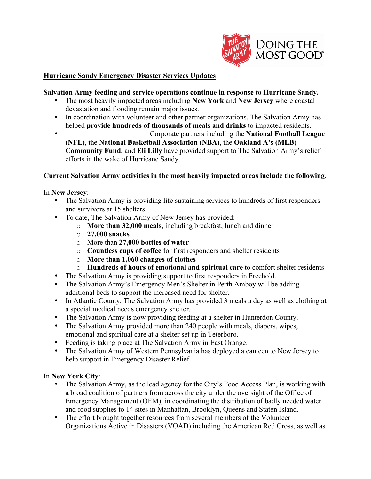

# **Hurricane Sandy Emergency Disaster Services Updates**

# **Salvation Army feeding and service operations continue in response to Hurricane Sandy.**

- The most heavily impacted areas including **New York** and **New Jersey** where coastal devastation and flooding remain major issues.
- In coordination with volunteer and other partner organizations, The Salvation Army has helped **provide hundreds of thousands of meals and drinks** to impacted residents.
- Corporate partners including the **National Football League (NFL)**, the **National Basketball Association (NBA)**, the **Oakland A's (MLB) Community Fund**, and **Eli Lilly** have provided support to The Salvation Army's relief efforts in the wake of Hurricane Sandy.

# **Current Salvation Army activities in the most heavily impacted areas include the following.**

# In **New Jersey**:

- The Salvation Army is providing life sustaining services to hundreds of first responders and survivors at 15 shelters.
- To date, The Salvation Army of New Jersey has provided:
	- o **More than 32,000 meals**, including breakfast, lunch and dinner
	- o **27,000 snacks**
	- o More than **27,000 bottles of water**
	- o **Countless cups of coffee** for first responders and shelter residents
	- o **More than 1,060 changes of clothes**
	- o **Hundreds of hours of emotional and spiritual care** to comfort shelter residents
- The Salvation Army is providing support to first responders in Freehold.
- The Salvation Army's Emergency Men's Shelter in Perth Amboy will be adding additional beds to support the increased need for shelter.
- In Atlantic County, The Salvation Army has provided 3 meals a day as well as clothing at a special medical needs emergency shelter.
- The Salvation Army is now providing feeding at a shelter in Hunterdon County.
- The Salvation Army provided more than 240 people with meals, diapers, wipes, emotional and spiritual care at a shelter set up in Teterboro.
- Feeding is taking place at The Salvation Army in East Orange.
- The Salvation Army of Western Pennsylvania has deployed a canteen to New Jersey to help support in Emergency Disaster Relief.

# In **New York City**:

- The Salvation Army, as the lead agency for the City's Food Access Plan, is working with a broad coalition of partners from across the city under the oversight of the Office of Emergency Management (OEM), in coordinating the distribution of badly needed water and food supplies to 14 sites in Manhattan, Brooklyn, Queens and Staten Island.
- The effort brought together resources from several members of the Volunteer Organizations Active in Disasters (VOAD) including the American Red Cross, as well as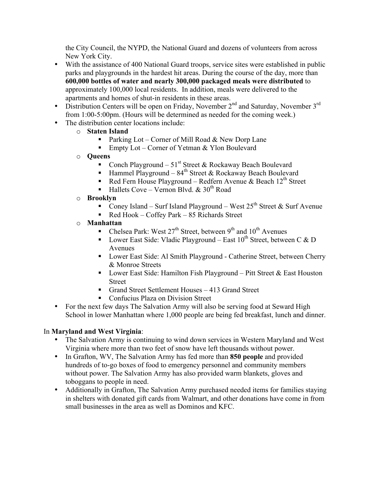the City Council, the NYPD, the National Guard and dozens of volunteers from across New York City.

- With the assistance of 400 National Guard troops, service sites were established in public parks and playgrounds in the hardest hit areas. During the course of the day, more than **600,000 bottles of water and nearly 300,000 packaged meals were distributed** to approximately 100,000 local residents. In addition, meals were delivered to the apartments and homes of shut-in residents in these areas.
- Distribution Centers will be open on Friday, November  $2<sup>nd</sup>$  and Saturday, November  $3<sup>rd</sup>$ from 1:00-5:00pm. (Hours will be determined as needed for the coming week.)
- The distribution center locations include:
	- o **Staten Island**
		- Parking Lot Corner of Mill Road  $&$  New Dorp Lane
		- Empty Lot Corner of Yetman  $&$  Ylon Boulevard
	- o **Queens**
		- Conch Playground  $51<sup>st</sup>$  Street & Rockaway Beach Boulevard
		- **Hammel Playground 84<sup>th</sup> Street & Rockaway Beach Boulevard**
		- Red Fern House Playground Redfern Avenue & Beach  $12<sup>th</sup>$  Street
		- Hallets Cove Vernon Blvd. &  $30<sup>th</sup>$  Road
	- o **Brooklyn**
		- Coney Island Surf Island Playground West  $25<sup>th</sup>$  Street & Surf Avenue
		- Red Hook Coffey Park  $85$  Richards Street
	- o **Manhattan**
		- Chelsea Park: West  $27<sup>th</sup>$  Street, between  $9<sup>th</sup>$  and  $10<sup>th</sup>$  Avenues
		- **Lower East Side: Vladic Playground East 10<sup>th</sup> Street, between C & D** Avenues
		- Lower East Side: Al Smith Playground Catherine Street, between Cherry & Monroe Streets
		- **Lower East Side: Hamilton Fish Playground Pitt Street & East Houston** Street
		- Grand Street Settlement Houses 413 Grand Street
		- Confucius Plaza on Division Street
- For the next few days The Salvation Army will also be serving food at Seward High School in lower Manhattan where 1,000 people are being fed breakfast, lunch and dinner.

# In **Maryland and West Virginia**:

- The Salvation Army is continuing to wind down services in Western Maryland and West Virginia where more than two feet of snow have left thousands without power.
- In Grafton, WV, The Salvation Army has fed more than **850 people** and provided hundreds of to-go boxes of food to emergency personnel and community members without power. The Salvation Army has also provided warm blankets, gloves and toboggans to people in need.
- Additionally in Grafton, The Salvation Army purchased needed items for families staying in shelters with donated gift cards from Walmart, and other donations have come in from small businesses in the area as well as Dominos and KFC.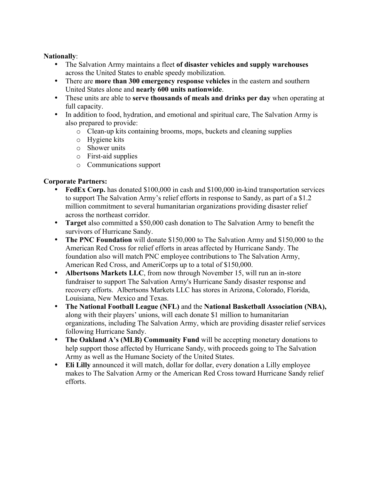# **Nationally**:

- The Salvation Army maintains a fleet **of disaster vehicles and supply warehouses** across the United States to enable speedy mobilization.
- There are **more than 300 emergency response vehicles** in the eastern and southern United States alone and **nearly 600 units nationwide**.
- These units are able to **serve thousands of meals and drinks per day** when operating at full capacity.
- In addition to food, hydration, and emotional and spiritual care, The Salvation Army is also prepared to provide:
	- o Clean-up kits containing brooms, mops, buckets and cleaning supplies
	- o Hygiene kits
	- o Shower units
	- o First-aid supplies
	- o Communications support

# **Corporate Partners:**

- **FedEx Corp.** has donated \$100,000 in cash and \$100,000 in-kind transportation services to support The Salvation Army's relief efforts in response to Sandy, as part of a \$1.2 million commitment to several humanitarian organizations providing disaster relief across the northeast corridor.
- **Target** also committed a \$50,000 cash donation to The Salvation Army to benefit the survivors of Hurricane Sandy.
- **The PNC Foundation** will donate \$150,000 to The Salvation Army and \$150,000 to the American Red Cross for relief efforts in areas affected by Hurricane Sandy. The foundation also will match PNC employee contributions to The Salvation Army, American Red Cross, and AmeriCorps up to a total of \$150,000.
- **Albertsons Markets LLC**, from now through November 15, will run an in-store fundraiser to support The Salvation Army's Hurricane Sandy disaster response and recovery efforts.Albertsons Markets LLC has stores in Arizona, Colorado, Florida, Louisiana, New Mexico and Texas.
- **The National Football League (NFL)** and the **National Basketball Association (NBA),** along with their players' unions, will each donate \$1 million to humanitarian organizations, including The Salvation Army, which are providing disaster relief services following Hurricane Sandy.
- **The Oakland A's (MLB) Community Fund** will be accepting monetary donations to help support those affected by Hurricane Sandy, with proceeds going to The Salvation Army as well as the Humane Society of the United States.
- **Eli Lilly** announced it will match, dollar for dollar, every donation a Lilly employee makes to The Salvation Army or the American Red Cross toward Hurricane Sandy relief efforts.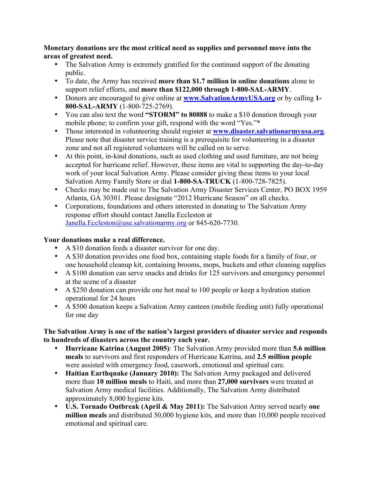**Monetary donations are the most critical need as supplies and personnel move into the areas of greatest need.**

- The Salvation Army is extremely gratified for the continued support of the donating public.
- To date, the Army has received **more than \$1.7 million in online donations** alone to support relief efforts, and **more than \$122,000 through 1-800-SAL-ARMY**.
- Donors are encouraged to give online at **www.SalvationArmyUSA.org** or by calling **1- 800-SAL-ARMY** (1-800-725-2769).
- You can also text the word **"STORM" to 80888** to make a \$10 donation through your mobile phone; to confirm your gift, respond with the word "Yes."\*
- Those interested in volunteering should register at **www.disaster.salvationarmyusa.org**. Please note that disaster service training is a prerequisite for volunteering in a disaster zone and not all registered volunteers will be called on to serve.
- At this point, in-kind donations, such as used clothing and used furniture, are not being accepted for hurricane relief. However, these items are vital to supporting the day-to-day work of your local Salvation Army. Please consider giving these items to your local Salvation Army Family Store or dial **1-800-SA-TRUCK** (1-800-728-7825).
- Checks may be made out to The Salvation Army Disaster Services Center, PO BOX 1959 Atlanta, GA 30301. Please designate "2012 Hurricane Season" on all checks.
- Corporations, foundations and others interested in donating to The Salvation Army response effort should contact Janella Eccleston at Janella.Eccleston@use.salvationarmy.org or 845-620-7730.

# **Your donations make a real difference.**

- A \$10 donation feeds a disaster survivor for one day.
- A \$30 donation provides one food box, containing staple foods for a family of four, or one household cleanup kit, containing brooms, mops, buckets and other cleaning supplies
- A \$100 donation can serve snacks and drinks for 125 survivors and emergency personnel at the scene of a disaster
- A \$250 donation can provide one hot meal to 100 people or keep a hydration station operational for 24 hours
- A \$500 donation keeps a Salvation Army canteen (mobile feeding unit) fully operational for one day

# **The Salvation Army is one of the nation's largest providers of disaster service and responds to hundreds of disasters across the country each year.**

- **Hurricane Katrina (August 2005)**: The Salvation Army provided more than **5.6 million meals** to survivors and first responders of Hurricane Katrina, and **2.5 million people** were assisted with emergency food, casework, emotional and spiritual care.
- **Haitian Earthquake (January 2010):** The Salvation Army packaged and delivered more than **10 million meals** to Haiti, and more than **27,000 survivors** were treated at Salvation Army medical facilities. Additionally, The Salvation Army distributed approximately 8,000 hygiene kits.
- **U.S. Tornado Outbreak (April & May 2011):** The Salvation Army served nearly **one million meals** and distributed 50,000 hygiene kits, and more than 10,000 people received emotional and spiritual care.